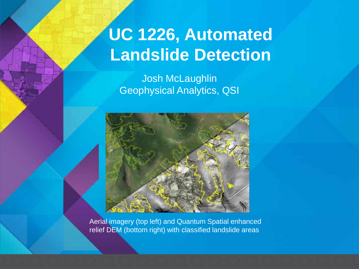# **UC 1226, Automated Landslide Detection**

Josh McLaughlin Geophysical Analytics, QSI



Aerial imagery (top left) and Quantum Spatial enhanced relief DEM (bottom right) with classified landslide areas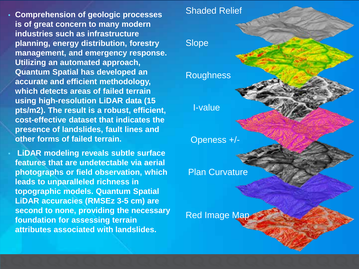- **Comprehension of geologic processes is of great concern to many modern industries such as infrastructure planning, energy distribution, forestry management, and emergency response. Utilizing an automated approach, Quantum Spatial has developed an accurate and efficient methodology, which detects areas of failed terrain using high-resolution LiDAR data (15 pts/m2). The result is a robust, efficient, cost-effective dataset that indicates the presence of landslides, fault lines and other forms of failed terrain.**
- **LiDAR modeling reveals subtle surface features that are undetectable via aerial photographs or field observation, which leads to unparalleled richness in topographic models. Quantum Spatial LiDAR accuracies (RMSEz 3-5 cm) are second to none, providing the necessary foundation for assessing terrain attributes associated with landslides.**

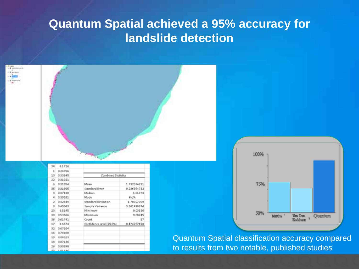#### **Quantum Spatial achieved a 95% accuracy for landslide detection**

| 34<br>13        | 0.1726<br>0.24756<br>1<br>0.30045 | 54<br>Combined Statistics |             |  |  |  |
|-----------------|-----------------------------------|---------------------------|-------------|--|--|--|
| 22              | 0.31021                           |                           |             |  |  |  |
|                 | 0.31854<br>6                      | Mean                      | 1.732074211 |  |  |  |
| 35              | 0.31905                           | Standard Error            | 0.236954732 |  |  |  |
|                 | 0.57420<br>ä                      | Median                    | 1.01773     |  |  |  |
|                 | 0.39281<br>4                      | Mode                      | ang/a.      |  |  |  |
|                 | 0.42849<br>2                      | Standard Deviation        | 1.78927099  |  |  |  |
|                 | 0.45063<br>a                      | Sample Variance           | 3.201490676 |  |  |  |
| 20 <sub>1</sub> | 0.5145                            | Minimum                   | 0.03156     |  |  |  |
| 59              | 053566                            | Maximum                   | 9.88945     |  |  |  |
| 36              | 0.61741                           | Count.                    | 57          |  |  |  |
| 17              | 0.6674                            | Confidence Level [95.0%]  | 0.474757498 |  |  |  |
| 32              | 0.67104                           |                           |             |  |  |  |
| 16              | 0.74108                           |                           |             |  |  |  |
| 19              | 0.04023                           |                           |             |  |  |  |
| 18              | 0.87136                           |                           |             |  |  |  |
| 26              | 0.90898                           |                           |             |  |  |  |
| $4 - 4$         | 101144                            |                           |             |  |  |  |



Quantum Spatial classification accuracy compared to results from two notable, published studies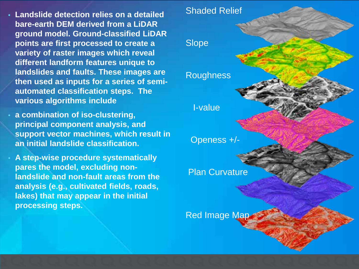- **Landslide detection relies on a detailed bare-earth DEM derived from a LiDAR ground model. Ground-classified LiDAR points are first processed to create a variety of raster images which reveal different landform features unique to landslides and faults. These images are then used as inputs for a series of semiautomated classification steps. The various algorithms include**
- **a combination of iso-clustering, principal component analysis, and support vector machines, which result in an initial landslide classification.**
- **A step-wise procedure systematically pares the model, excluding nonlandslide and non-fault areas from the analysis (e.g., cultivated fields, roads, lakes) that may appear in the initial processing steps.**

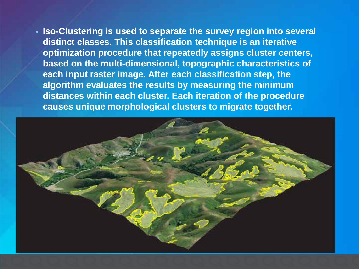• **Iso-Clustering is used to separate the survey region into several distinct classes. This classification technique is an iterative optimization procedure that repeatedly assigns cluster centers, based on the multi-dimensional, topographic characteristics of each input raster image. After each classification step, the algorithm evaluates the results by measuring the minimum distances within each cluster. Each iteration of the procedure causes unique morphological clusters to migrate together.**

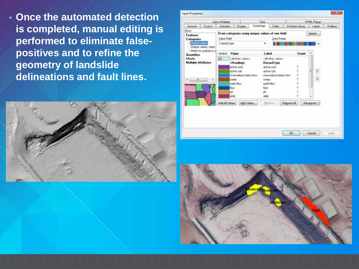• **Once the automated detection is completed, manual editing is performed to eliminate falsepositives and to refine the geometry of landslide delineations and fault lines.** 





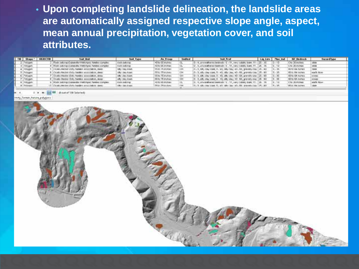• **Upon completing landslide delineation, the landslide areas are automatically assigned respective slope angle, aspect, mean annual precipitation, vegetation cover, and soil attributes.** 

|  | Shepe               | <b>GBACTD</b> | <b>Coal Unit</b>                                           | Soil Type            | As From                    | limitind | Seil Front                                                                              | Lighting I | Plea and | BZ Bedrook            | HarordType         |  |
|--|---------------------|---------------|------------------------------------------------------------|----------------------|----------------------------|----------|-----------------------------------------------------------------------------------------|------------|----------|-----------------------|--------------------|--|
|  | 2   Rohygety        |               | Rock pattorep-Duleakelle-Weltprigge families complex       | rock-outonic-        | =01c 05-incines            |          | 0 - 4. unweathered bewock (E - 11, very cable), leam. 11 - (25 - 30 / 15 - 10           |            |          | Cts-36 inches-        |                    |  |
|  | <b>IRIA gents</b>   |               | Hock outcome Dubanata (tradition) Families complete        | FIGHT GORDENIET      | <b>IED to the shifteen</b> |          | U. L. Linva all'erno betrock (S., 11, vary schols bees, 11, 25, 26,                     |            |          | C to 26 inches        |                    |  |
|  | 1. Photogram        |               | CUSEL/WOM-CRY/TMMM/ RESOURCE, GHAS                         | <b>10V 15Ny KWA</b>  | 15/10.15 syrings           | 1,918    | 0 - 5, 68's 19y 1996; 5 - 90, 19y clay, 40 - 90, 99 year 0 at 125 - 90 -                |            |          | FOTCES TYPES          | TMM                |  |
|  | Pelagan             |               | Continued on Cally families association, design            | tilly this loan.     | 55% 75 Fches               | ⊶        | 0 - 5, 187; One Cars, 5 - 40, 189; One, 40 - 50, provide One [25 - 50] 5 - 55.          |            |          | 60 to 64 inches       | might fictory      |  |
|  | Fish gen            |               | Custo-Horizo Coly funded percenture, desig                 | <b>HAV Like Town</b> | 05% 75 inches              | cн       | (2) - 3, 68 + 10x + 10x = 3 + 40; 100 + 10x + 40 + 58; servedly - 124 + 125 - 125 - 26; |            |          | <b>GD'is G4 FuPed</b> | the studes is      |  |
|  | -Polygon            |               | Ovako Hocker-Ddy tweller association, alvas                | pity clay loan       | 15510 75 inches            | Oм       | 0 - 8, sits day loan; 8 - 40, sity clar; 40 - 66, pravoly day [25 - 60   5 - 36         |            |          | 60 to 64 inchies      | 04'040             |  |
|  | instygen.           |               | <b>High publish CLASSING Fred Hyped Terkins didrights:</b> | Folk doll/right      | <b>IC-30 US PUPAIL</b>     |          |                                                                                         |            |          | CTs 26 Virkes         | addition delivery. |  |
|  | <b>B. Privatori</b> |               | The orientation collect and collected (1)                  | Hitler Stevelsweis   | Min. Wassen.               |          | A BRAILER MARK BLACK ARRANGEM ATLANT ARRANGEMENT.                                       | 25.180.    |          | WAY, ALCOHOL.         |                    |  |
|  |                     |               |                                                            |                      |                            |          |                                                                                         |            |          |                       |                    |  |

all out of 130 factoriests

indy Termin, Febure polyo

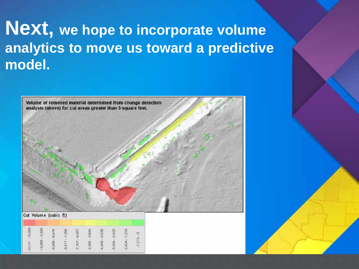# **Next, we hope to incorporate volume analytics to move us toward a predictive model.**

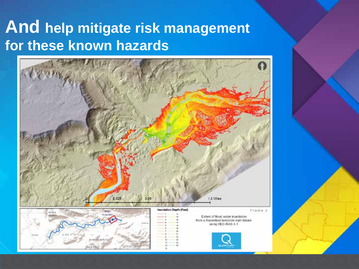# **And help mitigate risk management for these known hazards**